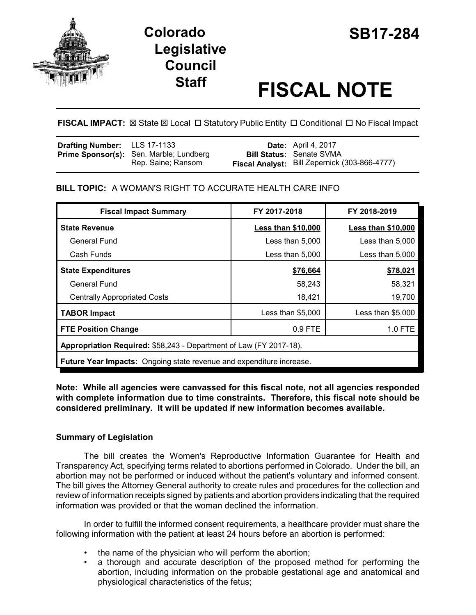



# **Staff FISCAL NOTE**

**FISCAL IMPACT:**  $\boxtimes$  State  $\boxtimes$  Local  $\Box$  Statutory Public Entity  $\Box$  Conditional  $\Box$  No Fiscal Impact

| <b>Drafting Number:</b> LLS 17-1133 |                                         | <b>Date:</b> April 4, 2017                    |
|-------------------------------------|-----------------------------------------|-----------------------------------------------|
|                                     | Prime Sponsor(s): Sen. Marble; Lundberg | <b>Bill Status: Senate SVMA</b>               |
|                                     | Rep. Saine; Ransom                      | Fiscal Analyst: Bill Zepernick (303-866-4777) |

**BILL TOPIC:** A WOMAN'S RIGHT TO ACCURATE HEALTH CARE INFO

| <b>Fiscal Impact Summary</b>                                                | FY 2017-2018              | FY 2018-2019              |  |  |  |
|-----------------------------------------------------------------------------|---------------------------|---------------------------|--|--|--|
| <b>State Revenue</b>                                                        | <b>Less than \$10,000</b> | <b>Less than \$10,000</b> |  |  |  |
| General Fund                                                                | Less than 5,000           | Less than 5,000           |  |  |  |
| Cash Funds                                                                  | Less than 5,000           | Less than 5,000           |  |  |  |
| <b>State Expenditures</b>                                                   | \$76,664                  | \$78,021                  |  |  |  |
| General Fund                                                                | 58,243                    | 58,321                    |  |  |  |
| <b>Centrally Appropriated Costs</b>                                         | 18,421                    | 19,700                    |  |  |  |
| <b>TABOR Impact</b>                                                         | Less than $$5,000$        | Less than \$5,000         |  |  |  |
| <b>FTE Position Change</b>                                                  | $0.9$ FTE                 | 1.0 FTE                   |  |  |  |
| Appropriation Required: \$58,243 - Department of Law (FY 2017-18).          |                           |                           |  |  |  |
| <b>Future Year Impacts:</b> Ongoing state revenue and expenditure increase. |                           |                           |  |  |  |

### **Note: While all agencies were canvassed for this fiscal note, not all agencies responded with complete information due to time constraints. Therefore, this fiscal note should be considered preliminary. It will be updated if new information becomes available.**

## **Summary of Legislation**

The bill creates the Women's Reproductive Information Guarantee for Health and Transparency Act, specifying terms related to abortions performed in Colorado. Under the bill, an abortion may not be performed or induced without the patient's voluntary and informed consent. The bill gives the Attorney General authority to create rules and procedures for the collection and review of information receipts signed by patients and abortion providers indicating that the required information was provided or that the woman declined the information.

In order to fulfill the informed consent requirements, a healthcare provider must share the following information with the patient at least 24 hours before an abortion is performed:

- the name of the physician who will perform the abortion;
- a thorough and accurate description of the proposed method for performing the abortion, including information on the probable gestational age and anatomical and physiological characteristics of the fetus;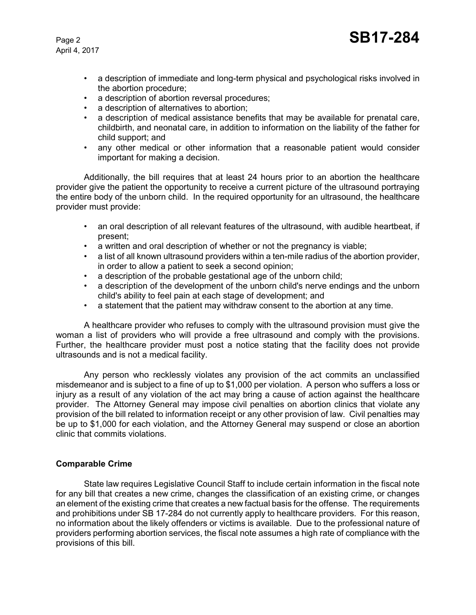April 4, 2017

- a description of immediate and long-term physical and psychological risks involved in the abortion procedure;
- a description of abortion reversal procedures;
- a description of alternatives to abortion;
- a description of medical assistance benefits that may be available for prenatal care, childbirth, and neonatal care, in addition to information on the liability of the father for child support; and
- any other medical or other information that a reasonable patient would consider important for making a decision.

Additionally, the bill requires that at least 24 hours prior to an abortion the healthcare provider give the patient the opportunity to receive a current picture of the ultrasound portraying the entire body of the unborn child. In the required opportunity for an ultrasound, the healthcare provider must provide:

- an oral description of all relevant features of the ultrasound, with audible heartbeat, if present;
- a written and oral description of whether or not the pregnancy is viable;
- a list of all known ultrasound providers within a ten-mile radius of the abortion provider, in order to allow a patient to seek a second opinion;
- a description of the probable gestational age of the unborn child;
- a description of the development of the unborn child's nerve endings and the unborn child's ability to feel pain at each stage of development; and
- a statement that the patient may withdraw consent to the abortion at any time.

A healthcare provider who refuses to comply with the ultrasound provision must give the woman a list of providers who will provide a free ultrasound and comply with the provisions. Further, the healthcare provider must post a notice stating that the facility does not provide ultrasounds and is not a medical facility.

Any person who recklessly violates any provision of the act commits an unclassified misdemeanor and is subject to a fine of up to \$1,000 per violation. A person who suffers a loss or injury as a result of any violation of the act may bring a cause of action against the healthcare provider. The Attorney General may impose civil penalties on abortion clinics that violate any provision of the bill related to information receipt or any other provision of law. Civil penalties may be up to \$1,000 for each violation, and the Attorney General may suspend or close an abortion clinic that commits violations.

#### **Comparable Crime**

State law requires Legislative Council Staff to include certain information in the fiscal note for any bill that creates a new crime, changes the classification of an existing crime, or changes an element of the existing crime that creates a new factual basis for the offense. The requirements and prohibitions under SB 17-284 do not currently apply to healthcare providers. For this reason, no information about the likely offenders or victims is available. Due to the professional nature of providers performing abortion services, the fiscal note assumes a high rate of compliance with the provisions of this bill.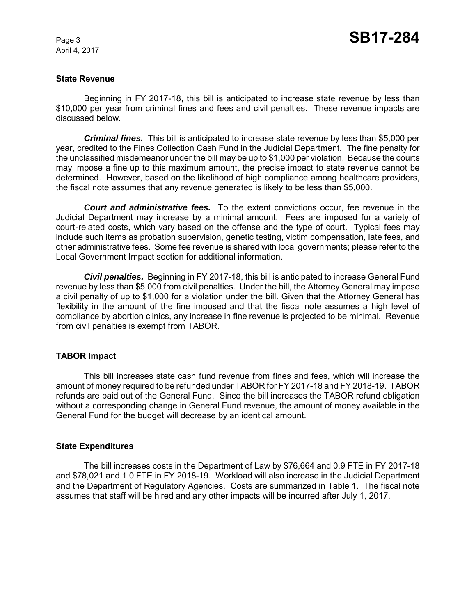April 4, 2017

#### **State Revenue**

Beginning in FY 2017-18, this bill is anticipated to increase state revenue by less than \$10,000 per year from criminal fines and fees and civil penalties. These revenue impacts are discussed below.

*Criminal fines.* This bill is anticipated to increase state revenue by less than \$5,000 per year, credited to the Fines Collection Cash Fund in the Judicial Department. The fine penalty for the unclassified misdemeanor under the bill may be up to \$1,000 per violation. Because the courts may impose a fine up to this maximum amount, the precise impact to state revenue cannot be determined. However, based on the likelihood of high compliance among healthcare providers, the fiscal note assumes that any revenue generated is likely to be less than \$5,000.

*Court and administrative fees.* To the extent convictions occur, fee revenue in the Judicial Department may increase by a minimal amount. Fees are imposed for a variety of court-related costs, which vary based on the offense and the type of court. Typical fees may include such items as probation supervision, genetic testing, victim compensation, late fees, and other administrative fees. Some fee revenue is shared with local governments; please refer to the Local Government Impact section for additional information.

*Civil penalties.* Beginning in FY 2017-18, this bill is anticipated to increase General Fund revenue by less than \$5,000 from civil penalties. Under the bill, the Attorney General may impose a civil penalty of up to \$1,000 for a violation under the bill. Given that the Attorney General has flexibility in the amount of the fine imposed and that the fiscal note assumes a high level of compliance by abortion clinics, any increase in fine revenue is projected to be minimal. Revenue from civil penalties is exempt from TABOR.

#### **TABOR Impact**

This bill increases state cash fund revenue from fines and fees, which will increase the amount of money required to be refunded under TABOR for FY 2017-18 and FY 2018-19. TABOR refunds are paid out of the General Fund. Since the bill increases the TABOR refund obligation without a corresponding change in General Fund revenue, the amount of money available in the General Fund for the budget will decrease by an identical amount.

#### **State Expenditures**

The bill increases costs in the Department of Law by \$76,664 and 0.9 FTE in FY 2017-18 and \$78,021 and 1.0 FTE in FY 2018-19. Workload will also increase in the Judicial Department and the Department of Regulatory Agencies. Costs are summarized in Table 1. The fiscal note assumes that staff will be hired and any other impacts will be incurred after July 1, 2017.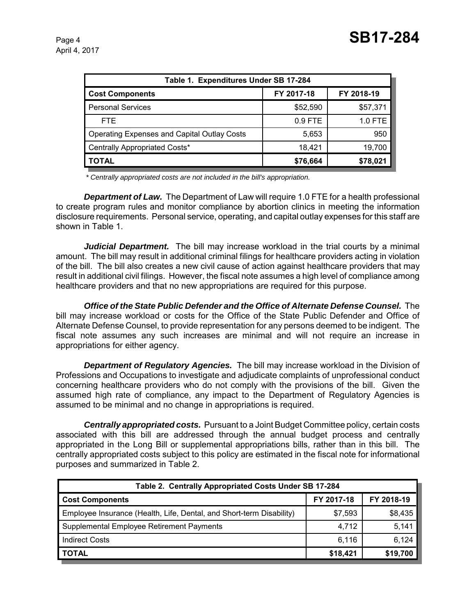| Table 1. Expenditures Under SB 17-284       |            |            |  |  |  |  |
|---------------------------------------------|------------|------------|--|--|--|--|
| <b>Cost Components</b>                      | FY 2017-18 | FY 2018-19 |  |  |  |  |
| <b>Personal Services</b>                    | \$52,590   | \$57,371   |  |  |  |  |
| FTE.                                        | $0.9$ FTE  | 1.0 FTE    |  |  |  |  |
| Operating Expenses and Capital Outlay Costs | 5,653      | 950        |  |  |  |  |
| Centrally Appropriated Costs*               | 18.421     | 19,700     |  |  |  |  |
| <b>TOTAL</b>                                | \$76,664   | \$78,021   |  |  |  |  |

 *\* Centrally appropriated costs are not included in the bill's appropriation.*

*Department of Law.* The Department of Law will require 1.0 FTE for a health professional to create program rules and monitor compliance by abortion clinics in meeting the information disclosure requirements. Personal service, operating, and capital outlay expenses for this staff are shown in Table 1.

*Judicial Department.* The bill may increase workload in the trial courts by a minimal amount. The bill may result in additional criminal filings for healthcare providers acting in violation of the bill. The bill also creates a new civil cause of action against healthcare providers that may result in additional civil filings. However, the fiscal note assumes a high level of compliance among healthcare providers and that no new appropriations are required for this purpose.

*Office of the State Public Defender and the Office of Alternate Defense Counsel.* The bill may increase workload or costs for the Office of the State Public Defender and Office of Alternate Defense Counsel, to provide representation for any persons deemed to be indigent. The fiscal note assumes any such increases are minimal and will not require an increase in appropriations for either agency.

*Department of Regulatory Agencies.* The bill may increase workload in the Division of Professions and Occupations to investigate and adjudicate complaints of unprofessional conduct concerning healthcare providers who do not comply with the provisions of the bill. Given the assumed high rate of compliance, any impact to the Department of Regulatory Agencies is assumed to be minimal and no change in appropriations is required.

*Centrally appropriated costs.* Pursuant to a Joint Budget Committee policy, certain costs associated with this bill are addressed through the annual budget process and centrally appropriated in the Long Bill or supplemental appropriations bills, rather than in this bill. The centrally appropriated costs subject to this policy are estimated in the fiscal note for informational purposes and summarized in Table 2.

| Table 2. Centrally Appropriated Costs Under SB 17-284                |            |            |  |  |  |  |
|----------------------------------------------------------------------|------------|------------|--|--|--|--|
| <b>Cost Components</b>                                               | FY 2017-18 | FY 2018-19 |  |  |  |  |
| Employee Insurance (Health, Life, Dental, and Short-term Disability) | \$7,593    | \$8,435    |  |  |  |  |
| Supplemental Employee Retirement Payments                            | 4,712      | 5,141      |  |  |  |  |
| <b>Indirect Costs</b>                                                | 6,116      | 6,124      |  |  |  |  |
| <b>TOTAL</b>                                                         | \$18,421   | \$19,700   |  |  |  |  |